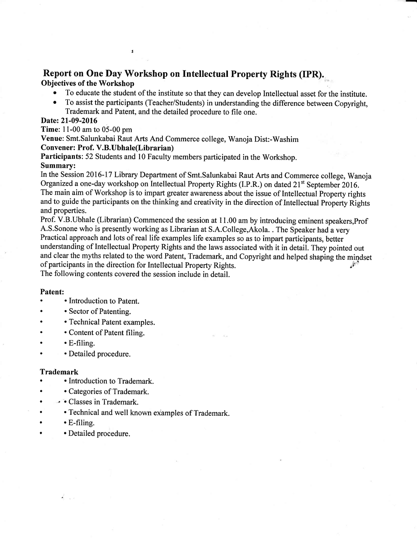# Report on One Day Workshop on Intellectual Property Rights (IPR).

## Objectives of the Workshop

- To educate the student of the institute so that they can develop Intellectual asset for the institute.<br>• To assist the participants (Teacher/Students) in understanding the difference between Convright
- To assist the participants (Teacher/Students) in understanding the difference between Copyright, Trademark and Patent, and the detailed procedure to file one.

### Date: 21-09-2016

Time: 1l-00 am to 05-00 pm

Venue: Smt.Salunkabai Raut Arts And Commerce college, Wanoja Dist:-Washim

# Convener: Prof. V.B.Ubhale(Librarian)

 $\pmb{\mathbb{1}}$ 

Participants: 52 Students and l0 Faculty members participated in the Workshop. Summary:

In the Session 2016-17 Library Department of Smt.Salunkabai Raut Arts and Commerce college, Wanoja Organized a one-day workshop on Intellectual Property Rights (I.P.R.) on dated 21<sup>st</sup> September 2016. The main aim of Workshop is to impart greater awareness about the issue of Intellectual Property rights and to guide the participants on the thinking and creativity in the direction of Intellectual Property Rights and properties.

Prof. V.B.Ubhale (Librarian) Commenced the session at I 1.00 am by introducing eminent speakers,Prof A.S.Sonone who is presently working as Librarian at S.A.College,Akola. . The Speaker had a very Practical approach and lots of real life examples life examples so as to impart participants, better understanding of Intellectual Property Rights and the laws associated with it in detail. They pointed out and olear the myths related to the word Patent, Trademark, and Copyright and helped shaping the mindset of participants in the direction for Intellectual Property Rights. The following contents covered the session include in detail.

#### Patent:

- Introduction to Patent.
- Sector of Patenting.
- . . Technical Patent examples.
- Content of Patent filing.
- $\bullet$  E-filing.
- Detailed procedure.

#### Trademark

 $\bullet$ 

- Introduction to Trademark.
- Categories of Trademark.
- Classes in Trademark.
	- Technical and well known examples of Trademark,
- $\bullet$  E-filing.

ની પર

. . Detailed procedure.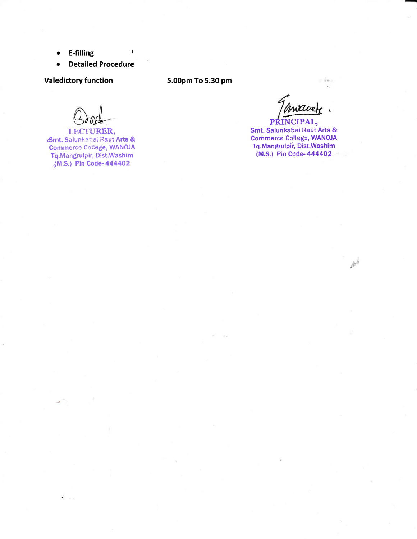- $\bullet$  E-filling  $\bullet$
- . Detailed Procedure

Valedictory function

5.00pm To 5.30 pm

LECTURER, **.Smt. Salunkabai Raut Arts &** Gommerce Coilege, WANOJA Tq,Mangrulpir, Dist.Washim .;(M.S.) Pin Code- 444402

> J.  $\sim$   $^{\circ}$

ratter  $\epsilon$ PRINCIPAL

íva.

 $\mathcal{P}^{\hat{\delta}}$ 

Smt. Salunkabai Raut Arts & Commerce College, WANOJA Tq.Mangrulpir, Dist.Washim (M.S.) Pin Code- 444402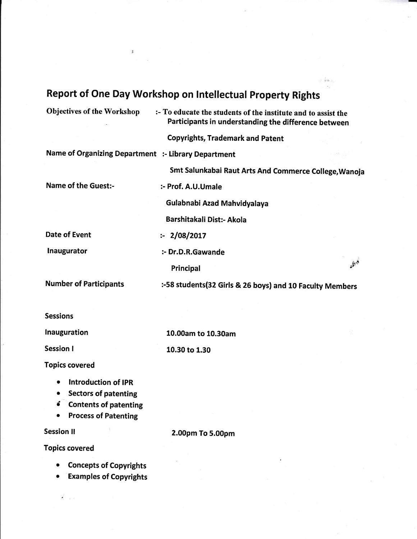| Report of One Day Workshop on Intellectual Property Rights                                                               |                                                                                                                       |               |
|--------------------------------------------------------------------------------------------------------------------------|-----------------------------------------------------------------------------------------------------------------------|---------------|
| <b>Objectives of the Workshop</b>                                                                                        | :- To educate the students of the institute and to assist the<br>Participants in understanding the difference between |               |
|                                                                                                                          | <b>Copyrights, Trademark and Patent</b>                                                                               |               |
| Name of Organizing Department :- Library Department                                                                      |                                                                                                                       |               |
|                                                                                                                          | Smt Salunkabai Raut Arts And Commerce College, Wanoja                                                                 |               |
| <b>Name of the Guest:-</b>                                                                                               | :- Prof. A.U.Umale                                                                                                    |               |
|                                                                                                                          | Gulabnabi Azad Mahvidyalaya                                                                                           |               |
|                                                                                                                          | Barshitakali Dist:- Akola                                                                                             |               |
| <b>Date of Event</b>                                                                                                     | : 2/08/2017                                                                                                           |               |
| Inaugurator                                                                                                              | :- Dr.D.R.Gawande                                                                                                     |               |
|                                                                                                                          | <b>Principal</b>                                                                                                      | $\mathcal{E}$ |
| <b>Number of Participants</b>                                                                                            | :-58 students(32 Girls & 26 boys) and 10 Faculty Members                                                              |               |
|                                                                                                                          |                                                                                                                       |               |
| <b>Sessions</b>                                                                                                          |                                                                                                                       |               |
| Inauguration                                                                                                             | 10.00am to 10.30am                                                                                                    |               |
| <b>Session I</b>                                                                                                         | 10.30 to 1.30                                                                                                         |               |
| <b>Topics covered</b>                                                                                                    |                                                                                                                       |               |
| <b>Introduction of IPR</b><br><b>Sectors of patenting</b><br><b>Contents of patenting</b><br><b>Process of Patenting</b> |                                                                                                                       |               |
| <b>Session II</b>                                                                                                        | 2.00pm To 5.00pm                                                                                                      |               |
| <b>Topics covered</b>                                                                                                    |                                                                                                                       |               |
| <b>Concepts of Copyrights</b><br><b>Examples of Copyrights</b>                                                           |                                                                                                                       |               |

'Š

J.